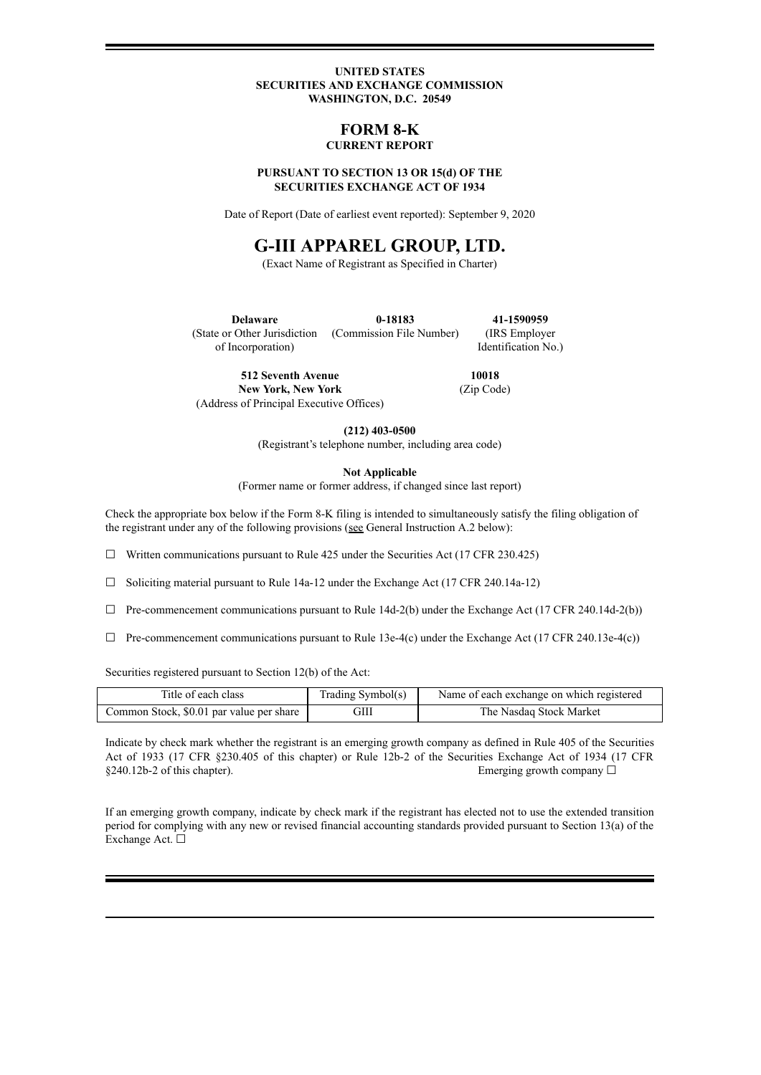#### **UNITED STATES SECURITIES AND EXCHANGE COMMISSION WASHINGTON, D.C. 20549**

### **FORM 8-K CURRENT REPORT**

#### **PURSUANT TO SECTION 13 OR 15(d) OF THE SECURITIES EXCHANGE ACT OF 1934**

Date of Report (Date of earliest event reported): September 9, 2020

# **G-III APPAREL GROUP, LTD.**

(Exact Name of Registrant as Specified in Charter)

**Delaware** (State or Other Jurisdiction of Incorporation) **0-18183** (Commission File Number) **41-1590959** (IRS Employer Identification No.)

**512 Seventh Avenue New York, New York** (Address of Principal Executive Offices)

**10018** (Zip Code)

**(212) 403-0500**

(Registrant's telephone number, including area code)

**Not Applicable**

(Former name or former address, if changed since last report)

Check the appropriate box below if the Form 8-K filing is intended to simultaneously satisfy the filing obligation of the registrant under any of the following provisions (see General Instruction A.2 below):

 $\Box$  Written communications pursuant to Rule 425 under the Securities Act (17 CFR 230.425)

☐ Soliciting material pursuant to Rule 14a-12 under the Exchange Act (17 CFR 240.14a-12)

- $\Box$  Pre-commencement communications pursuant to Rule 14d-2(b) under the Exchange Act (17 CFR 240.14d-2(b))
- $\Box$  Pre-commencement communications pursuant to Rule 13e-4(c) under the Exchange Act (17 CFR 240.13e-4(c))

Securities registered pursuant to Section 12(b) of the Act:

| Title of each class                      | Trading Symbol(s) | Name of each exchange on which registered |
|------------------------------------------|-------------------|-------------------------------------------|
| Common Stock, \$0.01 par value per share | GIII              | The Nasdaq Stock Market                   |

Indicate by check mark whether the registrant is an emerging growth company as defined in Rule 405 of the Securities Act of 1933 (17 CFR §230.405 of this chapter) or Rule 12b-2 of the Securities Exchange Act of 1934 (17 CFR  $§240.12b-2$  of this chapter). Emerging growth company  $□$ 

If an emerging growth company, indicate by check mark if the registrant has elected not to use the extended transition period for complying with any new or revised financial accounting standards provided pursuant to Section 13(a) of the Exchange Act. □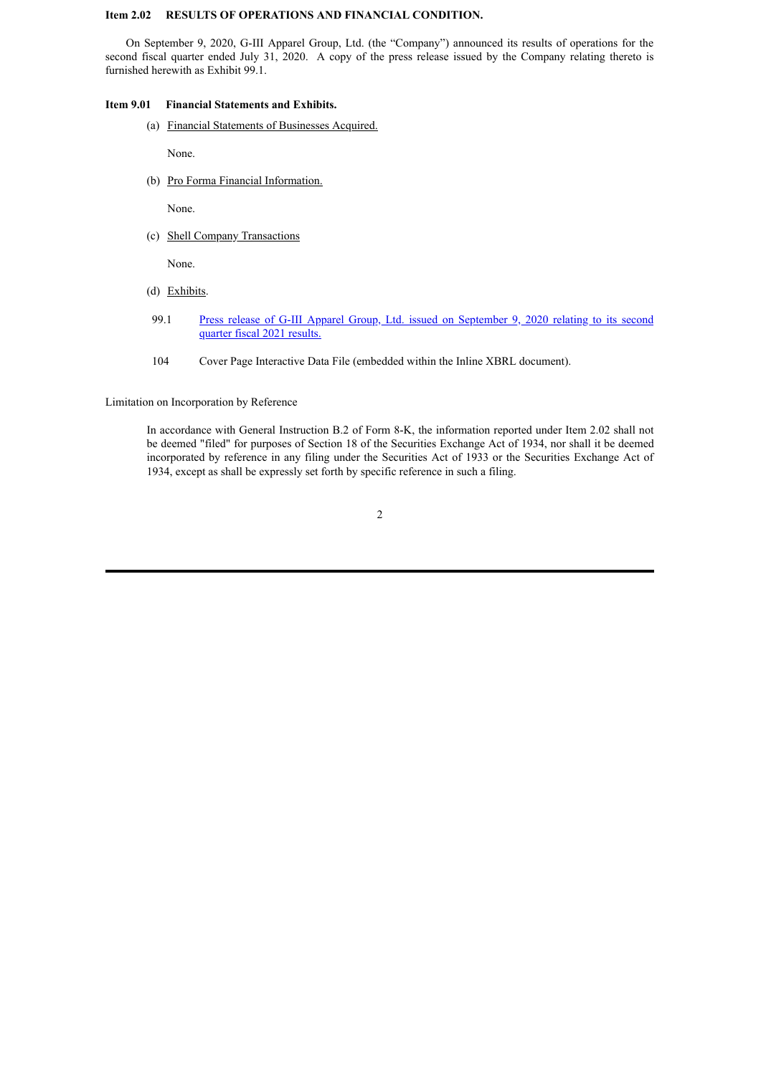#### **Item 2.02 RESULTS OF OPERATIONS AND FINANCIAL CONDITION.**

On September 9, 2020, G-III Apparel Group, Ltd. (the "Company") announced its results of operations for the second fiscal quarter ended July 31, 2020. A copy of the press release issued by the Company relating thereto is furnished herewith as Exhibit 99.1.

#### **Item 9.01 Financial Statements and Exhibits.**

(a) Financial Statements of Businesses Acquired.

None.

(b) Pro Forma Financial Information.

None.

(c) Shell Company Transactions

None.

- (d) Exhibits.
- 99.1 Press release of G-III Apparel Group, Ltd. issued on [September](#page-4-0) 9, 2020 relating to its second quarter fiscal 2021 results.
- 104 Cover Page Interactive Data File (embedded within the Inline XBRL document).

Limitation on Incorporation by Reference

In accordance with General Instruction B.2 of Form 8-K, the information reported under Item 2.02 shall not be deemed "filed" for purposes of Section 18 of the Securities Exchange Act of 1934, nor shall it be deemed incorporated by reference in any filing under the Securities Act of 1933 or the Securities Exchange Act of 1934, except as shall be expressly set forth by specific reference in such a filing.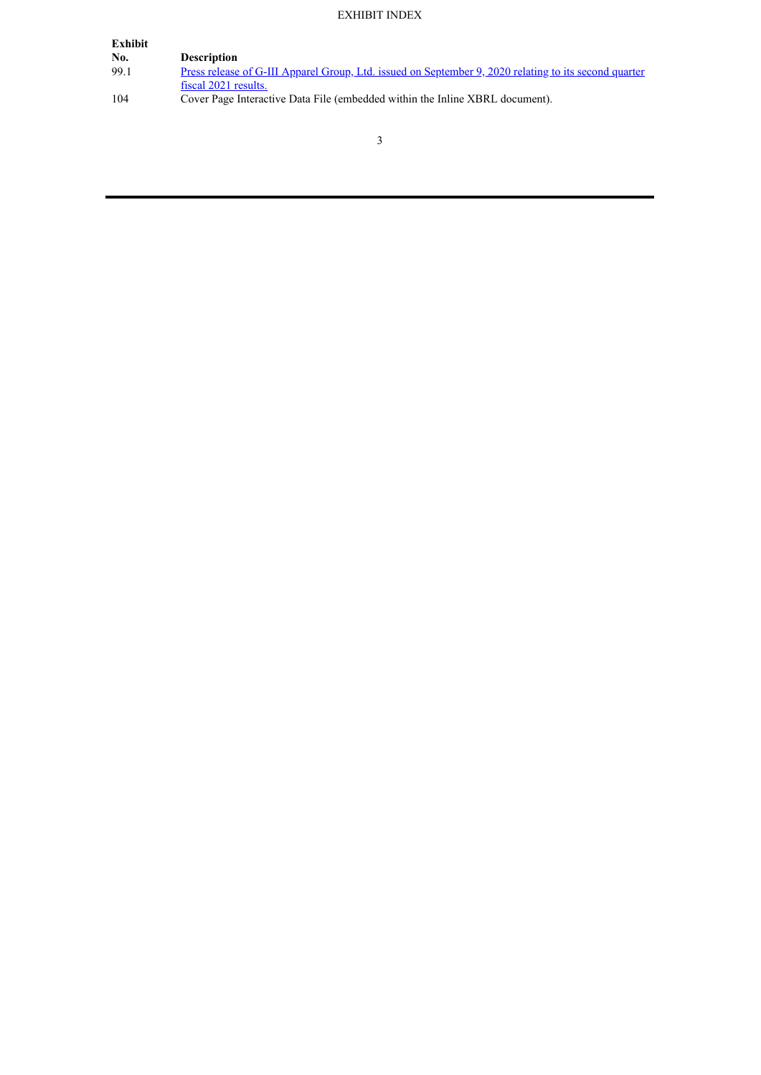# EXHIBIT INDEX

| <b>Description</b>                                                                                           |
|--------------------------------------------------------------------------------------------------------------|
| <u>Press release of G-III Apparel Group, Ltd. issued on September 9, 2020 relating to its second quarter</u> |
| fiscal 2021 results.                                                                                         |
| Cover Page Interactive Data File (embedded within the Inline XBRL document).                                 |
|                                                                                                              |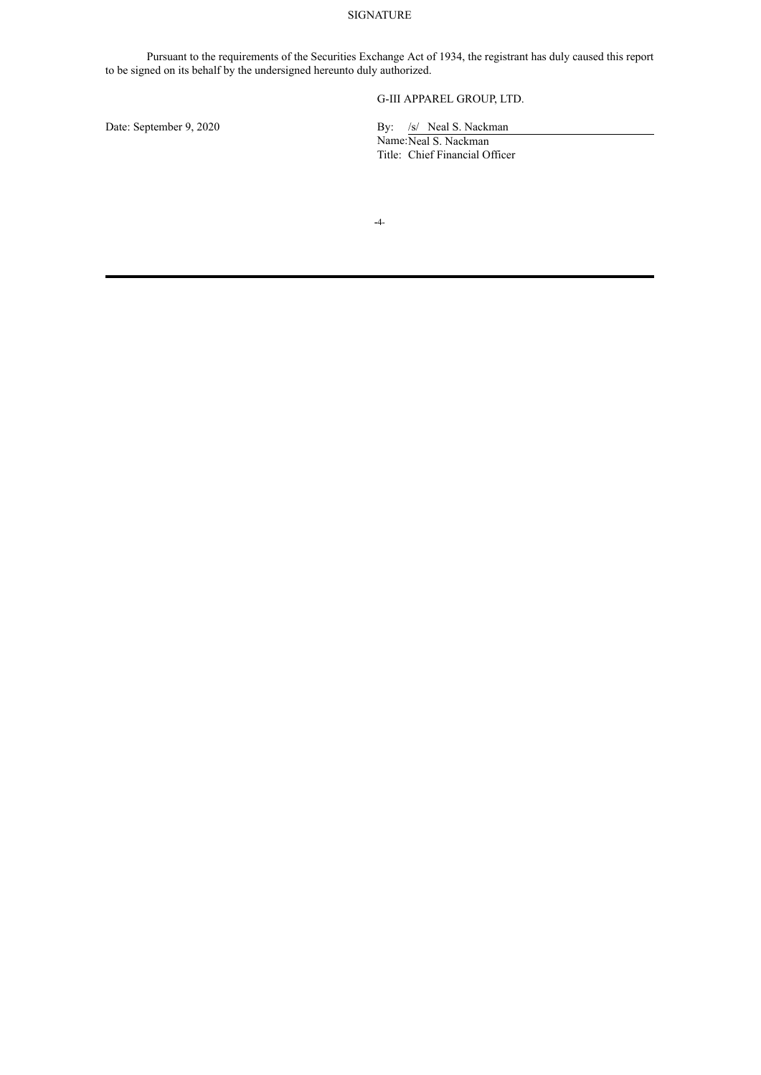### SIGNATURE

Pursuant to the requirements of the Securities Exchange Act of 1934, the registrant has duly caused this report to be signed on its behalf by the undersigned hereunto duly authorized.

### G-III APPAREL GROUP, LTD.

Date: September 9, 2020 By: /s/ Neal S. Nackman

Name:Neal S. Nackman Title: Chief Financial Officer

**-**4-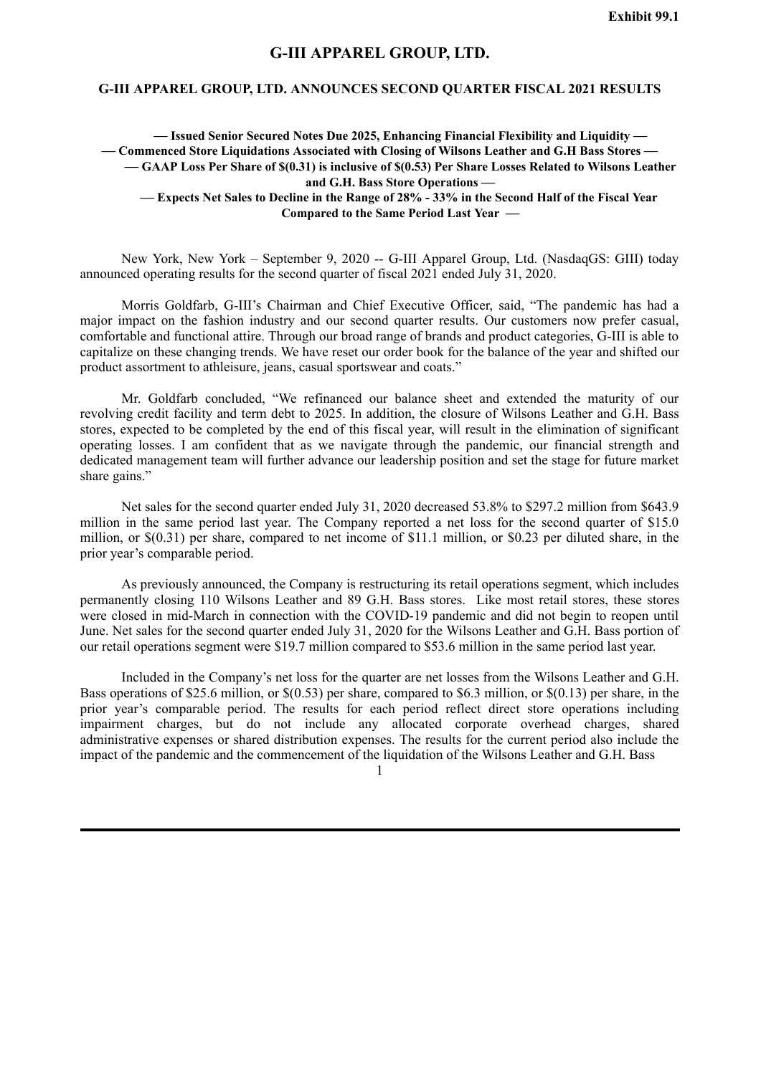## **G-III APPAREL GROUP, LTD.**

### <span id="page-4-0"></span>**G-III APPAREL GROUP, LTD. ANNOUNCES SECOND QUARTER FISCAL 2021 RESULTS**

**— Issued Senior Secured Notes Due 2025, Enhancing Financial Flexibility and Liquidity — — Commenced Store Liquidations Associated with Closing of Wilsons Leather and G.H Bass Stores —** -GAAP Loss Per Share of \$(0.31) is inclusive of \$(0.53) Per Share Losses Related to Wilsons Leather **and G.H. Bass Store Operations —**

- Expects Net Sales to Decline in the Range of 28% - 33% in the Second Half of the Fiscal Year **Compared to the Same Period Last Year —**

New York, New York – September 9, 2020 -- G-III Apparel Group, Ltd. (NasdaqGS: GIII) today announced operating results for the second quarter of fiscal 2021 ended July 31, 2020.

Morris Goldfarb, G-III's Chairman and Chief Executive Officer, said, "The pandemic has had a major impact on the fashion industry and our second quarter results. Our customers now prefer casual, comfortable and functional attire. Through our broad range of brands and product categories, G-III is able to capitalize on these changing trends. We have reset our order book for the balance of the year and shifted our product assortment to athleisure, jeans, casual sportswear and coats."

Mr. Goldfarb concluded, "We refinanced our balance sheet and extended the maturity of our revolving credit facility and term debt to 2025. In addition, the closure of Wilsons Leather and G.H. Bass stores, expected to be completed by the end of this fiscal year, will result in the elimination of significant operating losses. I am confident that as we navigate through the pandemic, our financial strength and dedicated management team will further advance our leadership position and set the stage for future market share gains."

Net sales for the second quarter ended July 31, 2020 decreased 53.8% to \$297.2 million from \$643.9 million in the same period last year. The Company reported a net loss for the second quarter of \$15.0 million, or \$(0.31) per share, compared to net income of \$11.1 million, or \$0.23 per diluted share, in the prior year's comparable period.

As previously announced, the Company is restructuring its retail operations segment, which includes permanently closing 110 Wilsons Leather and 89 G.H. Bass stores. Like most retail stores, these stores were closed in mid-March in connection with the COVID-19 pandemic and did not begin to reopen until June. Net sales for the second quarter ended July 31, 2020 for the Wilsons Leather and G.H. Bass portion of our retail operations segment were \$19.7 million compared to \$53.6 million in the same period last year.

Included in the Company's net loss for the quarter are net losses from the Wilsons Leather and G.H. Bass operations of \$25.6 million, or \$(0.53) per share, compared to \$6.3 million, or \$(0.13) per share, in the prior year's comparable period. The results for each period reflect direct store operations including impairment charges, but do not include any allocated corporate overhead charges, shared administrative expenses or shared distribution expenses. The results for the current period also include the impact of the pandemic and the commencement of the liquidation of the Wilsons Leather and G.H. Bass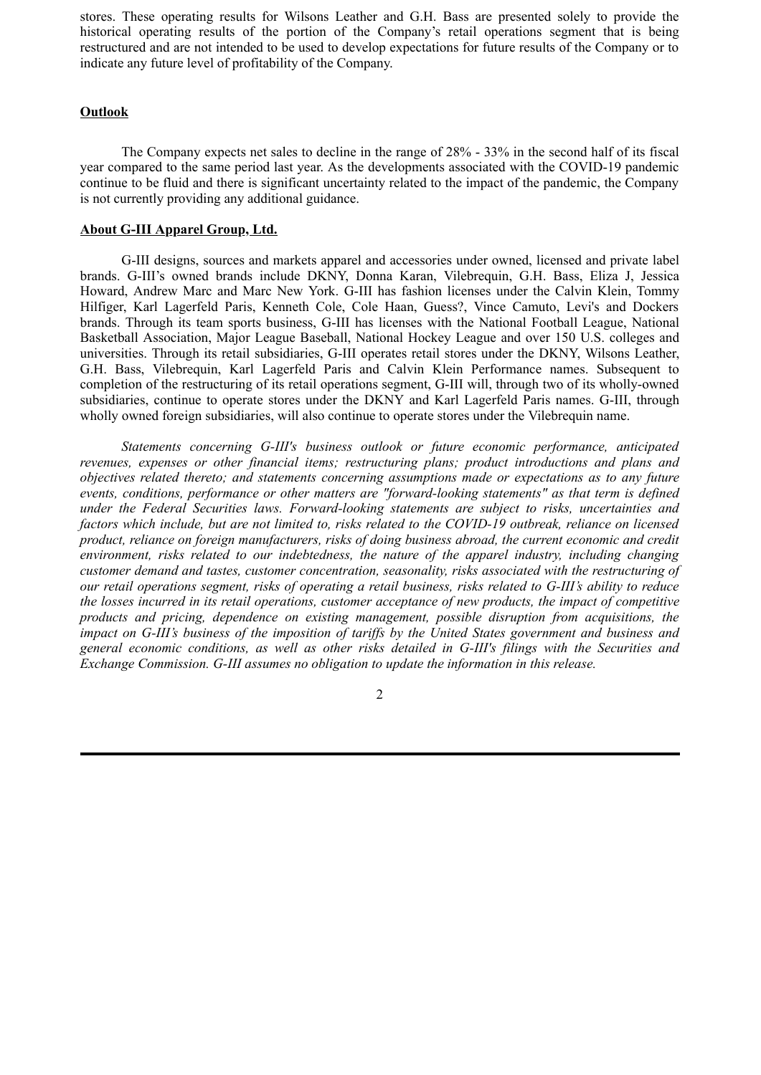stores. These operating results for Wilsons Leather and G.H. Bass are presented solely to provide the historical operating results of the portion of the Company's retail operations segment that is being restructured and are not intended to be used to develop expectations for future results of the Company or to indicate any future level of profitability of the Company.

### **Outlook**

The Company expects net sales to decline in the range of 28% - 33% in the second half of its fiscal year compared to the same period last year. As the developments associated with the COVID-19 pandemic continue to be fluid and there is significant uncertainty related to the impact of the pandemic, the Company is not currently providing any additional guidance.

### **About G-III Apparel Group, Ltd.**

G-III designs, sources and markets apparel and accessories under owned, licensed and private label brands. G-III's owned brands include DKNY, Donna Karan, Vilebrequin, G.H. Bass, Eliza J, Jessica Howard, Andrew Marc and Marc New York. G-III has fashion licenses under the Calvin Klein, Tommy Hilfiger, Karl Lagerfeld Paris, Kenneth Cole, Cole Haan, Guess?, Vince Camuto, Levi's and Dockers brands. Through its team sports business, G-III has licenses with the National Football League, National Basketball Association, Major League Baseball, National Hockey League and over 150 U.S. colleges and universities. Through its retail subsidiaries, G-III operates retail stores under the DKNY, Wilsons Leather, G.H. Bass, Vilebrequin, Karl Lagerfeld Paris and Calvin Klein Performance names. Subsequent to completion of the restructuring of its retail operations segment, G-III will, through two of its wholly-owned subsidiaries, continue to operate stores under the DKNY and Karl Lagerfeld Paris names. G-III, through wholly owned foreign subsidiaries, will also continue to operate stores under the Vilebrequin name.

*Statements concerning G-III's business outlook or future economic performance, anticipated revenues, expenses or other financial items; restructuring plans; product introductions and plans and objectives related thereto; and statements concerning assumptions made or expectations as to any future events, conditions, performance or other matters are "forward-looking statements" as that term is defined under the Federal Securities laws. Forward-looking statements are subject to risks, uncertainties and factors which include, but are not limited to, risks related to the COVID-19 outbreak, reliance on licensed product, reliance on foreign manufacturers, risks of doing business abroad, the current economic and credit environment, risks related to our indebtedness, the nature of the apparel industry, including changing customer demand and tastes, customer concentration, seasonality, risks associated with the restructuring of our retail operations segment, risks of operating a retail business, risks related to G-III's ability to reduce the losses incurred in its retail operations, customer acceptance of new products, the impact of competitive products and pricing, dependence on existing management, possible disruption from acquisitions, the impact on G-III's business of the imposition of tariffs by the United States government and business and general economic conditions, as well as other risks detailed in G-III's filings with the Securities and Exchange Commission. G-III assumes no obligation to update the information in this release.*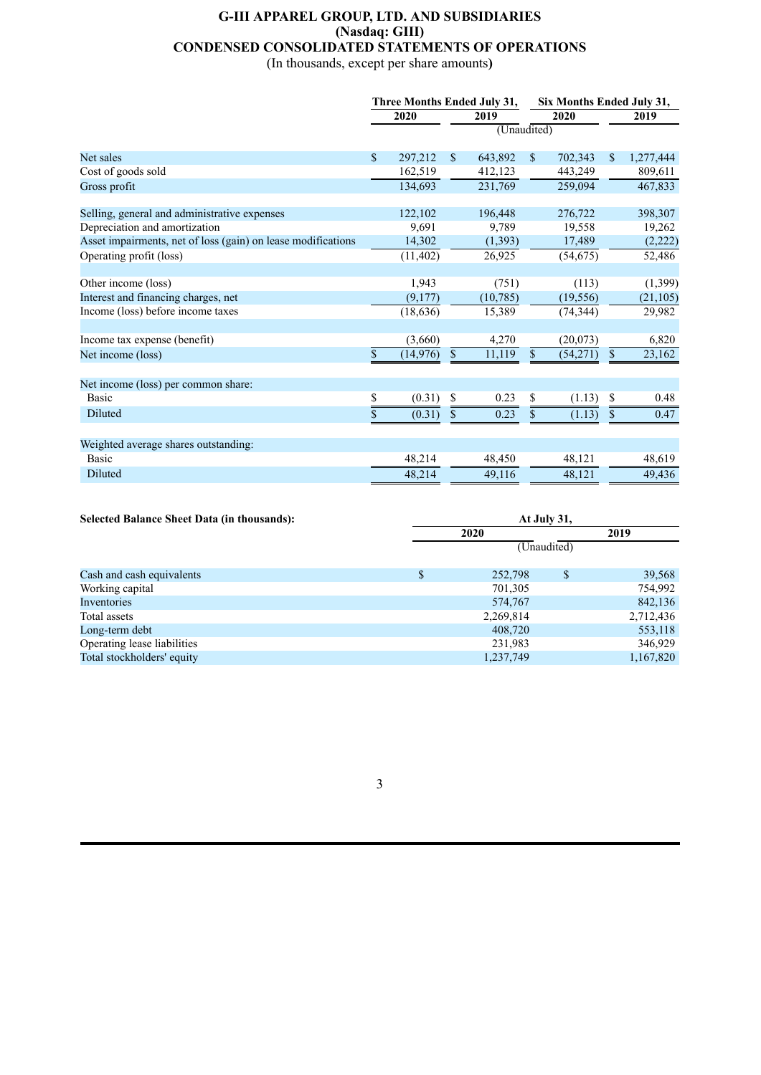## **G-III APPAREL GROUP, LTD. AND SUBSIDIARIES (Nasdaq: GIII) CONDENSED CONSOLIDATED STATEMENTS OF OPERATIONS**

(In thousands, except per share amounts**)**

|                                                              | Three Months Ended July 31, |           |              |           | Six Months Ended July 31, |           |      |           |
|--------------------------------------------------------------|-----------------------------|-----------|--------------|-----------|---------------------------|-----------|------|-----------|
|                                                              | 2020                        |           | 2019         |           | 2020                      |           | 2019 |           |
|                                                              | (Unaudited)                 |           |              |           |                           |           |      |           |
|                                                              |                             |           |              |           |                           |           |      |           |
| Net sales                                                    | \$                          | 297,212   | $\mathbb{S}$ | 643,892   | $\mathbb{S}$              | 702,343   | \$   | 1,277,444 |
| Cost of goods sold                                           |                             | 162,519   |              | 412,123   |                           | 443,249   |      | 809,611   |
| Gross profit                                                 |                             | 134,693   |              | 231,769   |                           | 259,094   |      | 467,833   |
|                                                              |                             |           |              |           |                           |           |      |           |
| Selling, general and administrative expenses                 |                             | 122,102   |              | 196,448   |                           | 276,722   |      | 398,307   |
| Depreciation and amortization                                |                             | 9,691     |              | 9,789     |                           | 19,558    |      | 19,262    |
| Asset impairments, net of loss (gain) on lease modifications |                             | 14,302    |              | (1, 393)  |                           | 17,489    |      | (2,222)   |
| Operating profit (loss)                                      |                             | (11, 402) |              | 26,925    |                           | (54, 675) |      | 52,486    |
|                                                              |                             |           |              |           |                           |           |      |           |
| Other income (loss)                                          |                             | 1,943     |              | (751)     |                           | (113)     |      | (1, 399)  |
| Interest and financing charges, net                          |                             | (9,177)   |              | (10, 785) |                           | (19, 556) |      | (21, 105) |
| Income (loss) before income taxes                            |                             | (18, 636) |              | 15,389    |                           | (74, 344) |      | 29,982    |
|                                                              |                             |           |              |           |                           |           |      |           |
| Income tax expense (benefit)                                 |                             | (3,660)   |              | 4,270     |                           | (20,073)  |      | 6,820     |
| Net income (loss)                                            | \$                          | (14, 976) | $\mathbb{S}$ | 11,119    | $\boldsymbol{\mathsf{S}}$ | (54,271)  | \$   | 23,162    |
|                                                              |                             |           |              |           |                           |           |      |           |
| Net income (loss) per common share:                          |                             |           |              |           |                           |           |      |           |
| <b>Basic</b>                                                 | \$                          | (0.31)    | \$           | 0.23      | \$                        | (1.13)    | \$   | 0.48      |
| Diluted                                                      | \$                          | (0.31)    | \$           | 0.23      | \$                        | (1.13)    | \$   | 0.47      |
|                                                              |                             |           |              |           |                           |           |      |           |
| Weighted average shares outstanding:                         |                             |           |              |           |                           |           |      |           |
| Basic                                                        |                             | 48,214    |              | 48,450    |                           | 48,121    |      | 48,619    |
| Diluted                                                      |                             | 48,214    |              | 49,116    |                           | 48,121    |      | 49,436    |

| <b>Selected Balance Sheet Data (in thousands):</b> | At July 31, |           |      |           |  |  |  |
|----------------------------------------------------|-------------|-----------|------|-----------|--|--|--|
|                                                    |             | 2020      | 2019 |           |  |  |  |
|                                                    | (Unaudited) |           |      |           |  |  |  |
| Cash and cash equivalents                          | \$          | 252,798   | \$   | 39,568    |  |  |  |
| Working capital                                    |             | 701,305   |      | 754,992   |  |  |  |
| Inventories                                        |             | 574,767   |      | 842,136   |  |  |  |
| Total assets                                       |             | 2,269,814 |      | 2,712,436 |  |  |  |
| Long-term debt                                     |             | 408,720   |      | 553,118   |  |  |  |
| Operating lease liabilities                        |             | 231,983   |      | 346,929   |  |  |  |
| Total stockholders' equity                         |             | 1,237,749 |      | 1,167,820 |  |  |  |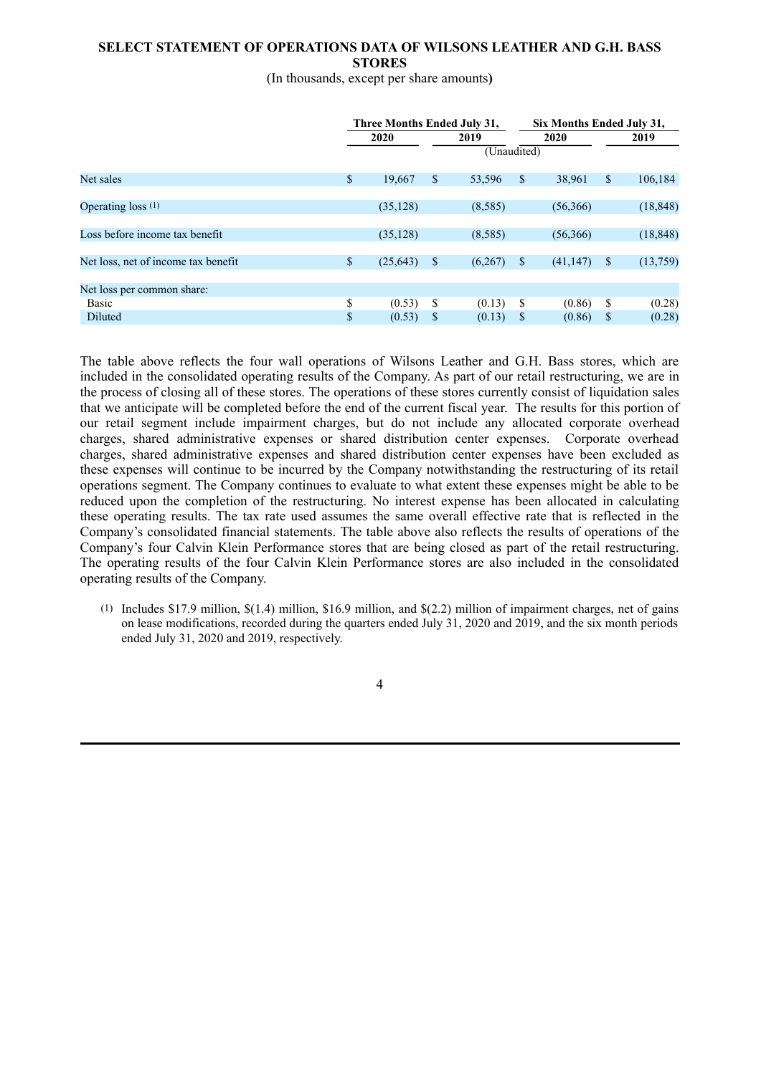### **SELECT STATEMENT OF OPERATIONS DATA OF WILSONS LEATHER AND G.H. BASS STORES**

## (In thousands, except per share amounts**)**

|                                     |      | Three Months Ended July 31, |     |             |    | Six Months Ended July 31, |                    |           |  |  |
|-------------------------------------|------|-----------------------------|-----|-------------|----|---------------------------|--------------------|-----------|--|--|
|                                     | 2020 |                             |     | 2019        |    | 2020                      |                    | 2019      |  |  |
|                                     |      |                             |     | (Unaudited) |    |                           |                    |           |  |  |
| Net sales                           | \$   | 19,667                      | \$  | 53,596      | \$ | 38,961                    | $\mathbb{S}$       | 106,184   |  |  |
| Operating loss $(1)$                |      | (35, 128)                   |     | (8,585)     |    | (56,366)                  |                    | (18, 848) |  |  |
| Loss before income tax benefit      |      | (35, 128)                   |     | (8,585)     |    | (56,366)                  |                    | (18, 848) |  |  |
| Net loss, net of income tax benefit | \$   | (25, 643)                   | -\$ | (6,267)     | S. | (41, 147)                 | $\mathbf{\hat{s}}$ | (13,759)  |  |  |
| Net loss per common share:          |      |                             |     |             |    |                           |                    |           |  |  |
| <b>Basic</b>                        | \$   | (0.53)                      | \$  | (0.13)      | \$ | (0.86)                    | S                  | (0.28)    |  |  |
| Diluted                             | \$   | (0.53)                      | \$  | (0.13)      | S  | (0.86)                    | <sup>S</sup>       | (0.28)    |  |  |

The table above reflects the four wall operations of Wilsons Leather and G.H. Bass stores, which are included in the consolidated operating results of the Company. As part of our retail restructuring, we are in the process of closing all of these stores. The operations of these stores currently consist of liquidation sales that we anticipate will be completed before the end of the current fiscal year. The results for this portion of our retail segment include impairment charges, but do not include any allocated corporate overhead charges, shared administrative expenses or shared distribution center expenses. Corporate overhead charges, shared administrative expenses and shared distribution center expenses have been excluded as these expenses will continue to be incurred by the Company notwithstanding the restructuring of its retail operations segment. The Company continues to evaluate to what extent these expenses might be able to be reduced upon the completion of the restructuring. No interest expense has been allocated in calculating these operating results. The tax rate used assumes the same overall effective rate that is reflected in the Company's consolidated financial statements. The table above also reflects the results of operations of the Company's four Calvin Klein Performance stores that are being closed as part of the retail restructuring. The operating results of the four Calvin Klein Performance stores are also included in the consolidated operating results of the Company.

(1) Includes \$17.9 million, \$(1.4) million, \$16.9 million, and \$(2.2) million of impairment charges, net of gains on lease modifications, recorded during the quarters ended July 31, 2020 and 2019, and the six month periods ended July 31, 2020 and 2019, respectively.